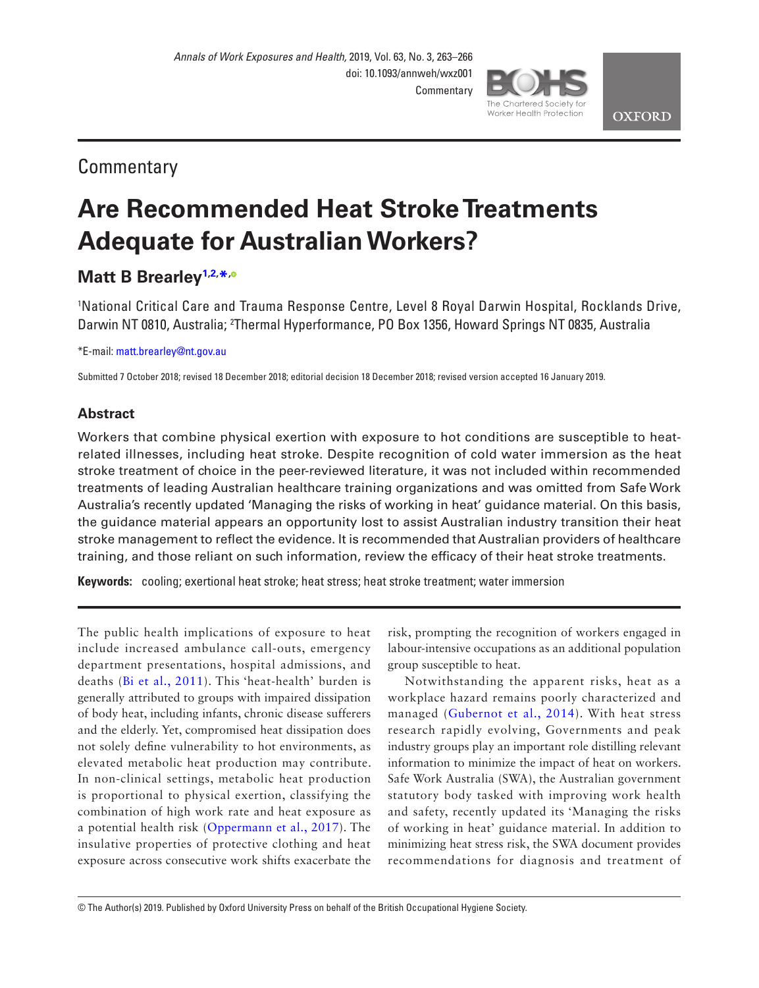<span id="page-0-1"></span>

# **Commentary**

# **Are Recommended Heat Stroke Treatments Adequate for Australian Workers?**

# **Matt B Brearley[1,](#page-0-0)[2,](#page-0-1) [\\*](#page-0-2)[,](http://orcid.org/0000-0002-6655-3914)**

<span id="page-0-0"></span>1 National Critical Care and Trauma Response Centre, Level 8 Royal Darwin Hospital, Rocklands Drive, Darwin NT 0810, Australia; 2 Thermal Hyperformance, PO Box 1356, Howard Springs NT 0835, Australia

<span id="page-0-2"></span>\*E-mail: [matt.brearley@nt.gov.au](mailto:matt.brearley@nt.gov.au?subject=)

Submitted 7 October 2018; revised 18 December 2018; editorial decision 18 December 2018; revised version accepted 16 January 2019.

## **Abstract**

Workers that combine physical exertion with exposure to hot conditions are susceptible to heatrelated illnesses, including heat stroke. Despite recognition of cold water immersion as the heat stroke treatment of choice in the peer-reviewed literature, it was not included within recommended treatments of leading Australian healthcare training organizations and was omitted from Safe Work Australia's recently updated 'Managing the risks of working in heat' guidance material. On this basis, the guidance material appears an opportunity lost to assist Australian industry transition their heat stroke management to reflect the evidence. It is recommended that Australian providers of healthcare training, and those reliant on such information, review the efficacy of their heat stroke treatments.

**Keywords:** cooling; exertional heat stroke; heat stress; heat stroke treatment; water immersion

The public health implications of exposure to heat include increased ambulance call-outs, emergency department presentations, hospital admissions, and deaths ([Bi et al., 2011\)](#page-2-0). This 'heat-health' burden is generally attributed to groups with impaired dissipation of body heat, including infants, chronic disease sufferers and the elderly. Yet, compromised heat dissipation does not solely define vulnerability to hot environments, as elevated metabolic heat production may contribute. In non-clinical settings, metabolic heat production is proportional to physical exertion, classifying the combination of high work rate and heat exposure as a potential health risk [\(Oppermann et al., 2017\)](#page-3-0). The insulative properties of protective clothing and heat exposure across consecutive work shifts exacerbate the risk, prompting the recognition of workers engaged in labour-intensive occupations as an additional population group susceptible to heat.

Notwithstanding the apparent risks, heat as a workplace hazard remains poorly characterized and managed [\(Gubernot et al., 2014](#page-3-1)). With heat stress research rapidly evolving, Governments and peak industry groups play an important role distilling relevant information to minimize the impact of heat on workers. Safe Work Australia (SWA), the Australian government statutory body tasked with improving work health and safety, recently updated its 'Managing the risks of working in heat' guidance material. In addition to minimizing heat stress risk, the SWA document provides recommendations for diagnosis and treatment of

© The Author(s) 2019. Published by Oxford University Press on behalf of the British Occupational Hygiene Society.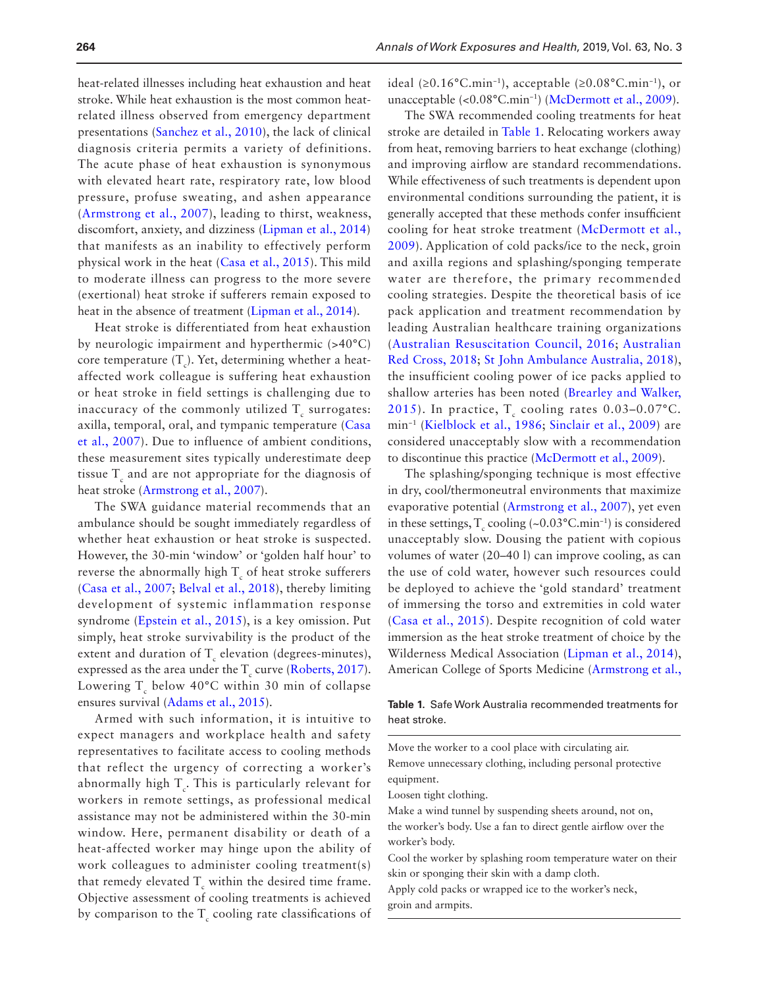heat-related illnesses including heat exhaustion and heat stroke. While heat exhaustion is the most common heatrelated illness observed from emergency department presentations [\(Sanchez et al., 2010](#page-3-2)), the lack of clinical diagnosis criteria permits a variety of definitions. The acute phase of heat exhaustion is synonymous with elevated heart rate, respiratory rate, low blood pressure, profuse sweating, and ashen appearance ([Armstrong et al., 2007](#page-2-1)), leading to thirst, weakness, discomfort, anxiety, and dizziness ([Lipman et al., 2014\)](#page-3-3) that manifests as an inability to effectively perform physical work in the heat ([Casa et al., 2015\)](#page-2-2). This mild to moderate illness can progress to the more severe (exertional) heat stroke if sufferers remain exposed to heat in the absence of treatment [\(Lipman et al., 2014](#page-3-3)).

Heat stroke is differentiated from heat exhaustion by neurologic impairment and hyperthermic (>40°C) core temperature (T<sub>c</sub>). Yet, determining whether a heataffected work colleague is suffering heat exhaustion or heat stroke in field settings is challenging due to inaccuracy of the commonly utilized  $T_c$  surrogates: axilla, temporal, oral, and tympanic temperature ([Casa](#page-2-3)  [et al., 2007](#page-2-3)). Due to influence of ambient conditions, these measurement sites typically underestimate deep tissue  $T_c$  and are not appropriate for the diagnosis of heat stroke ([Armstrong et al., 2007\)](#page-2-1).

The SWA guidance material recommends that an ambulance should be sought immediately regardless of whether heat exhaustion or heat stroke is suspected. However, the 30-min 'window' or 'golden half hour' to reverse the abnormally high  $T_{\text{c}}$  of heat stroke sufferers ([Casa et al., 2007](#page-2-3); [Belval et al., 2018\)](#page-2-4), thereby limiting development of systemic inflammation response syndrome [\(Epstein et al., 2015](#page-3-4)), is a key omission. Put simply, heat stroke survivability is the product of the extent and duration of  $T_c$  elevation (degrees-minutes), expressed as the area under the  $T_c$  curve [\(Roberts, 2017\)](#page-3-5). Lowering  $T_c$  below 40°C within 30 min of collapse ensures survival [\(Adams et al., 2015](#page-2-5)).

Armed with such information, it is intuitive to expect managers and workplace health and safety representatives to facilitate access to cooling methods that reflect the urgency of correcting a worker's abnormally high  $T_c$ . This is particularly relevant for workers in remote settings, as professional medical assistance may not be administered within the 30-min window. Here, permanent disability or death of a heat-affected worker may hinge upon the ability of work colleagues to administer cooling treatment(s) that remedy elevated  $T_c$  within the desired time frame. Objective assessment of cooling treatments is achieved by comparison to the  $T_c$  cooling rate classifications of ideal (≥0.16°C.min−1), acceptable (≥0.08°C.min−1), or unacceptable (<0.08°C.min−1) ([McDermott et al., 2009\)](#page-3-6).

The SWA recommended cooling treatments for heat stroke are detailed in [Table 1.](#page-1-0) Relocating workers away from heat, removing barriers to heat exchange (clothing) and improving airflow are standard recommendations. While effectiveness of such treatments is dependent upon environmental conditions surrounding the patient, it is generally accepted that these methods confer insufficient cooling for heat stroke treatment [\(McDermott et al.,](#page-3-6)  [2009](#page-3-6)). Application of cold packs/ice to the neck, groin and axilla regions and splashing/sponging temperate water are therefore, the primary recommended cooling strategies. Despite the theoretical basis of ice pack application and treatment recommendation by leading Australian healthcare training organizations ([Australian Resuscitation Council, 2016](#page-2-6); [Australian](#page-2-7)  [Red Cross, 2018;](#page-2-7) [St John Ambulance Australia, 2018\)](#page-3-7), the insufficient cooling power of ice packs applied to shallow arteries has been noted [\(Brearley and Walker,](#page-2-8)  [2015\)](#page-2-8). In practice,  $T_c$  cooling rates 0.03–0.07°C. min−1 ([Kielblock et al., 1986;](#page-3-8) [Sinclair et al., 2009](#page-3-9)) are considered unacceptably slow with a recommendation to discontinue this practice ([McDermott et al., 2009\)](#page-3-6).

The splashing/sponging technique is most effective in dry, cool/thermoneutral environments that maximize evaporative potential [\(Armstrong et al., 2007](#page-2-1)), yet even in these settings,  $T_c$  cooling (~0.03°C.min<sup>-1</sup>) is considered unacceptably slow. Dousing the patient with copious volumes of water (20–40 l) can improve cooling, as can the use of cold water, however such resources could be deployed to achieve the 'gold standard' treatment of immersing the torso and extremities in cold water ([Casa et al., 2015\)](#page-2-2). Despite recognition of cold water immersion as the heat stroke treatment of choice by the Wilderness Medical Association ([Lipman et al., 2014\)](#page-3-3), American College of Sports Medicine ([Armstrong et al.,](#page-2-1) 

<span id="page-1-0"></span>**Table 1.** Safe Work Australia recommended treatments for heat stroke.

Move the worker to a cool place with circulating air. Remove unnecessary clothing, including personal protective equipment. Loosen tight clothing. Make a wind tunnel by suspending sheets around, not on, the worker's body. Use a fan to direct gentle airflow over the worker's body. Cool the worker by splashing room temperature water on their skin or sponging their skin with a damp cloth. Apply cold packs or wrapped ice to the worker's neck, groin and armpits.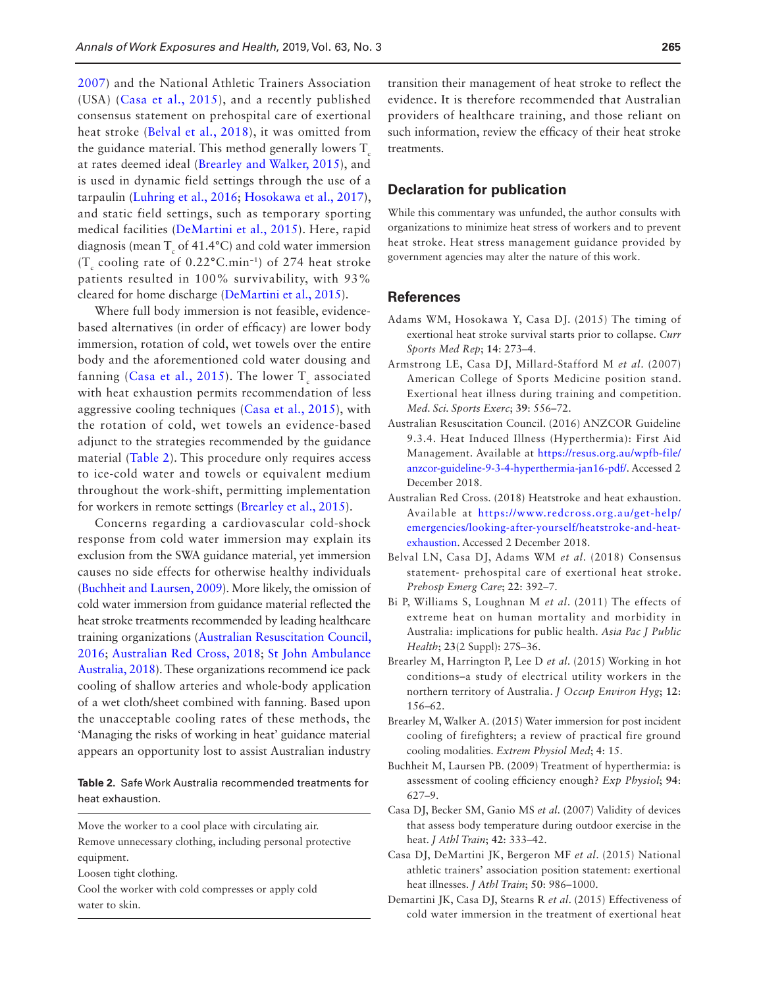[2007\)](#page-2-1) and the National Athletic Trainers Association (USA) ([Casa et al., 2015](#page-2-2)), and a recently published consensus statement on prehospital care of exertional heat stroke [\(Belval et al., 2018\)](#page-2-4), it was omitted from the guidance material. This method generally lowers  $T_c$ at rates deemed ideal ([Brearley and Walker, 2015](#page-2-8)), and is used in dynamic field settings through the use of a tarpaulin ([Luhring et al., 2016;](#page-3-10) [Hosokawa et al., 2017\)](#page-3-11), and static field settings, such as temporary sporting medical facilities [\(DeMartini et al., 2015\)](#page-2-9). Here, rapid diagnosis (mean  $T_c$  of 41.4°C) and cold water immersion (T<sub>c</sub> cooling rate of 0.22°C.min<sup>-1</sup>) of 274 heat stroke patients resulted in 100% survivability, with 93% cleared for home discharge ([DeMartini et al., 2015](#page-2-9)).

Where full body immersion is not feasible, evidencebased alternatives (in order of efficacy) are lower body immersion, rotation of cold, wet towels over the entire body and the aforementioned cold water dousing and fanning ([Casa et al., 2015\)](#page-2-2). The lower  $\mathrm{T_{c}}$  associated with heat exhaustion permits recommendation of less aggressive cooling techniques [\(Casa et al., 2015](#page-2-2)), with the rotation of cold, wet towels an evidence-based adjunct to the strategies recommended by the guidance material ([Table 2\)](#page-2-10). This procedure only requires access to ice-cold water and towels or equivalent medium throughout the work-shift, permitting implementation for workers in remote settings [\(Brearley et al., 2015\)](#page-2-11).

Concerns regarding a cardiovascular cold-shock response from cold water immersion may explain its exclusion from the SWA guidance material, yet immersion causes no side effects for otherwise healthy individuals ([Buchheit and Laursen, 2009\)](#page-2-12). More likely, the omission of cold water immersion from guidance material reflected the heat stroke treatments recommended by leading healthcare training organizations [\(Australian Resuscitation Council,](#page-2-6)  [2016](#page-2-6); [Australian Red Cross, 2018](#page-2-7); [St John Ambulance](#page-3-7)  [Australia, 2018\)](#page-3-7). These organizations recommend ice pack cooling of shallow arteries and whole-body application of a wet cloth/sheet combined with fanning. Based upon the unacceptable cooling rates of these methods, the 'Managing the risks of working in heat' guidance material appears an opportunity lost to assist Australian industry

<span id="page-2-10"></span>**Table 2.** Safe Work Australia recommended treatments for heat exhaustion.

Move the worker to a cool place with circulating air.

Remove unnecessary clothing, including personal protective equipment.

Loosen tight clothing.

Cool the worker with cold compresses or apply cold water to skin.

transition their management of heat stroke to reflect the evidence. It is therefore recommended that Australian providers of healthcare training, and those reliant on such information, review the efficacy of their heat stroke treatments.

### **Declaration for publication**

While this commentary was unfunded, the author consults with organizations to minimize heat stress of workers and to prevent heat stroke. Heat stress management guidance provided by government agencies may alter the nature of this work.

#### **References**

- <span id="page-2-5"></span>Adams WM, Hosokawa Y, Casa DJ. (2015) The timing of exertional heat stroke survival starts prior to collapse. *Curr Sports Med Rep*; **14**: 273–4.
- <span id="page-2-1"></span>Armstrong LE, Casa DJ, Millard-Stafford M *et al*. (2007) American College of Sports Medicine position stand. Exertional heat illness during training and competition. *Med. Sci. Sports Exerc*; **39**: 556–72.
- <span id="page-2-6"></span>Australian Resuscitation Council. (2016) ANZCOR Guideline 9.3.4. Heat Induced Illness (Hyperthermia): First Aid Management. Available at [https://resus.org.au/wpfb-file/](https://resus.org.au/wpfb-file/anzcor-guideline-9-3-4-hyperthermia-jan16-pdf/) [anzcor-guideline-9-3-4-hyperthermia-jan16-pdf/](https://resus.org.au/wpfb-file/anzcor-guideline-9-3-4-hyperthermia-jan16-pdf/). Accessed 2 December 2018.
- <span id="page-2-7"></span>Australian Red Cross. (2018) Heatstroke and heat exhaustion. Available at [https://www.redcross.org.au/get-help/](https://www.redcross.org.au/get-help/emergencies/looking-after-yourself/heatstroke-and-heat-exhaustion) [emergencies/looking-after-yourself/heatstroke-and-heat](https://www.redcross.org.au/get-help/emergencies/looking-after-yourself/heatstroke-and-heat-exhaustion)[exhaustion.](https://www.redcross.org.au/get-help/emergencies/looking-after-yourself/heatstroke-and-heat-exhaustion) Accessed 2 December 2018.
- <span id="page-2-4"></span>Belval LN, Casa DJ, Adams WM *et al*. (2018) Consensus statement- prehospital care of exertional heat stroke. *Prehosp Emerg Care*; **22**: 392–7.
- <span id="page-2-0"></span>Bi P, Williams S, Loughnan M *et al*. (2011) The effects of extreme heat on human mortality and morbidity in Australia: implications for public health. *Asia Pac J Public Health*; **23**(2 Suppl): 27S–36.
- <span id="page-2-11"></span>Brearley M, Harrington P, Lee D *et al*. (2015) Working in hot conditions–a study of electrical utility workers in the northern territory of Australia. *J Occup Environ Hyg*; **12**: 156–62.
- <span id="page-2-8"></span>Brearley M, Walker A. (2015) Water immersion for post incident cooling of firefighters; a review of practical fire ground cooling modalities. *Extrem Physiol Med*; **4**: 15.
- <span id="page-2-12"></span>Buchheit M, Laursen PB. (2009) Treatment of hyperthermia: is assessment of cooling efficiency enough? *Exp Physiol*; **94**: 627–9.
- <span id="page-2-3"></span>Casa DJ, Becker SM, Ganio MS *et al*. (2007) Validity of devices that assess body temperature during outdoor exercise in the heat. *J Athl Train*; **42**: 333–42.
- <span id="page-2-2"></span>Casa DJ, DeMartini JK, Bergeron MF *et al*. (2015) National athletic trainers' association position statement: exertional heat illnesses. *J Athl Train*; **50**: 986–1000.
- <span id="page-2-9"></span>Demartini JK, Casa DJ, Stearns R *et al*. (2015) Effectiveness of cold water immersion in the treatment of exertional heat